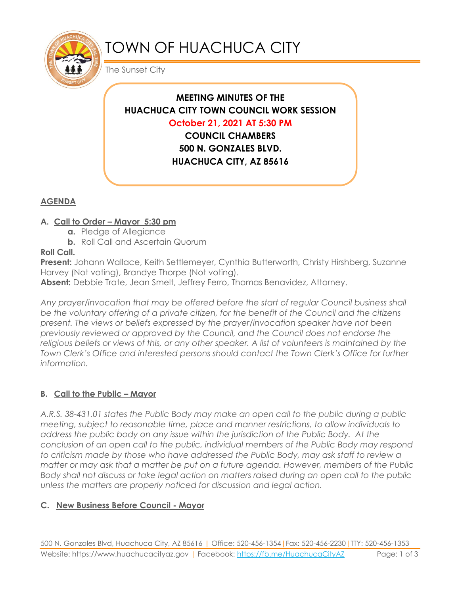

# TOWN OF HUACHUCA CITY

The Sunset City

# **MEETING MINUTES OF THE HUACHUCA CITY TOWN COUNCIL WORK SESSION October 21, 2021 AT 5:30 PM COUNCIL CHAMBERS**

**500 N. GONZALES BLVD. HUACHUCA CITY, AZ 85616**

# **AGENDA**

#### **A. Call to Order – Mayor 5:30 pm**

- **a.** Pledge of Allegiance
- **b.** Roll Call and Ascertain Quorum

#### **Roll Call.**

**Present:** Johann Wallace, Keith Settlemeyer, Cynthia Butterworth, Christy Hirshberg, Suzanne Harvey (Not voting), Brandye Thorpe (Not voting).

**Absent:** Debbie Trate, Jean Smelt, Jeffrey Ferro, Thomas Benavidez, Attorney.

*Any prayer/invocation that may be offered before the start of regular Council business shall be the voluntary offering of a private citizen, for the benefit of the Council and the citizens present. The views or beliefs expressed by the prayer/invocation speaker have not been previously reviewed or approved by the Council, and the Council does not endorse the*  religious beliefs or views of this, or any other speaker. A list of volunteers is maintained by the *Town Clerk's Office and interested persons should contact the Town Clerk's Office for further information.*

## **B. Call to the Public – Mayor**

*A.R.S. 38-431.01 states the Public Body may make an open call to the public during a public meeting, subject to reasonable time, place and manner restrictions, to allow individuals to address the public body on any issue within the jurisdiction of the Public Body. At the conclusion of an open call to the public, individual members of the Public Body may respond to criticism made by those who have addressed the Public Body, may ask staff to review a matter or may ask that a matter be put on a future agenda. However, members of the Public Body shall not discuss or take legal action on matters raised during an open call to the public unless the matters are properly noticed for discussion and legal action.*

## **C. New Business Before Council - Mayor**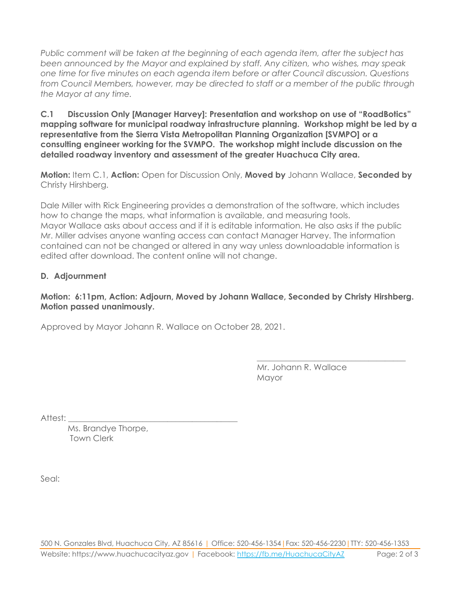*Public comment will be taken at the beginning of each agenda item, after the subject has been announced by the Mayor and explained by staff. Any citizen, who wishes, may speak one time for five minutes on each agenda item before or after Council discussion. Questions from Council Members, however, may be directed to staff or a member of the public through the Mayor at any time.* 

**C.1 Discussion Only [Manager Harvey]: Presentation and workshop on use of "RoadBotics" mapping software for municipal roadway infrastructure planning. Workshop might be led by a representative from the Sierra Vista Metropolitan Planning Organization [SVMPO] or a consulting engineer working for the SVMPO. The workshop might include discussion on the detailed roadway inventory and assessment of the greater Huachuca City area.** 

**Motion:** Item C.1, **Action:** Open for Discussion Only, **Moved by** Johann Wallace, **Seconded by** Christy Hirshberg.

Dale Miller with Rick Engineering provides a demonstration of the software, which includes how to change the maps, what information is available, and measuring tools. Mayor Wallace asks about access and if it is editable information. He also asks if the public Mr. Miller advises anyone wanting access can contact Manager Harvey. The information contained can not be changed or altered in any way unless downloadable information is edited after download. The content online will not change.

#### **D. Adjournment**

#### **Motion: 6:11pm, Action: Adjourn, Moved by Johann Wallace, Seconded by Christy Hirshberg. Motion passed unanimously.**

Approved by Mayor Johann R. Wallace on October 28, 2021.

Mr. Johann R. Wallace Mayor

\_\_\_\_\_\_\_\_\_\_\_\_\_\_\_\_\_\_\_\_\_\_\_\_\_\_\_\_\_\_\_\_\_\_\_\_

Attest:

Ms. Brandye Thorpe, Town Clerk

Seal: